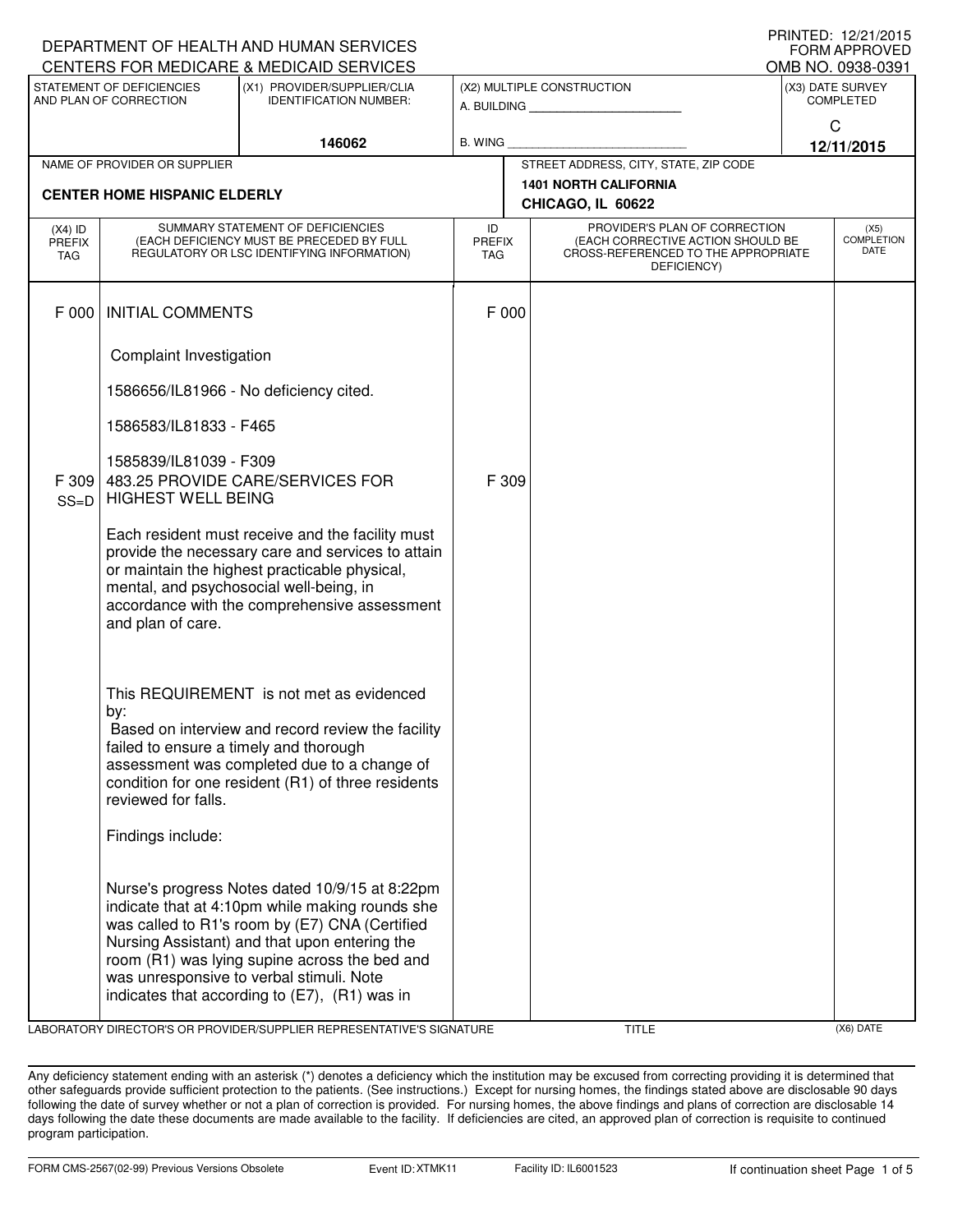|                                                                                                      |                                                                                                    | DEPARTMENT OF HEALTH AND HUMAN SERVICES                                                         |                             |                                                                                                                |                                                                          |                                       | <b>FORM APPROVED</b>      |
|------------------------------------------------------------------------------------------------------|----------------------------------------------------------------------------------------------------|-------------------------------------------------------------------------------------------------|-----------------------------|----------------------------------------------------------------------------------------------------------------|--------------------------------------------------------------------------|---------------------------------------|---------------------------|
| CENTERS FOR MEDICARE & MEDICAID SERVICES<br>STATEMENT OF DEFICIENCIES<br>(X1) PROVIDER/SUPPLIER/CLIA |                                                                                                    |                                                                                                 |                             |                                                                                                                | (X2) MULTIPLE CONSTRUCTION                                               | OMB NO. 0938-0391<br>(X3) DATE SURVEY |                           |
| AND PLAN OF CORRECTION<br><b>IDENTIFICATION NUMBER:</b>                                              |                                                                                                    |                                                                                                 |                             | A. BUILDING AND THE STATE OF THE STATE OF THE STATE OF THE STATE OF THE STATE OF THE STATE OF THE STATE OF THE | <b>COMPLETED</b>                                                         |                                       |                           |
|                                                                                                      |                                                                                                    |                                                                                                 |                             |                                                                                                                | $\mathsf C$                                                              |                                       |                           |
|                                                                                                      |                                                                                                    | 146062                                                                                          | <b>B. WING</b>              |                                                                                                                |                                                                          |                                       | 12/11/2015                |
|                                                                                                      | NAME OF PROVIDER OR SUPPLIER                                                                       |                                                                                                 |                             |                                                                                                                | STREET ADDRESS, CITY, STATE, ZIP CODE<br><b>1401 NORTH CALIFORNIA</b>    |                                       |                           |
|                                                                                                      | <b>CENTER HOME HISPANIC ELDERLY</b>                                                                |                                                                                                 |                             |                                                                                                                | CHICAGO, IL 60622                                                        |                                       |                           |
| $(X4)$ ID                                                                                            | SUMMARY STATEMENT OF DEFICIENCIES                                                                  |                                                                                                 | ID                          | PROVIDER'S PLAN OF CORRECTION                                                                                  |                                                                          |                                       | (X5)                      |
| <b>PREFIX</b><br>TAG                                                                                 | (EACH DEFICIENCY MUST BE PRECEDED BY FULL<br>REGULATORY OR LSC IDENTIFYING INFORMATION)            |                                                                                                 | <b>PREFIX</b><br><b>TAG</b> |                                                                                                                | (EACH CORRECTIVE ACTION SHOULD BE<br>CROSS-REFERENCED TO THE APPROPRIATE |                                       | <b>COMPLETION</b><br>DATE |
|                                                                                                      |                                                                                                    |                                                                                                 |                             |                                                                                                                | DEFICIENCY)                                                              |                                       |                           |
|                                                                                                      |                                                                                                    |                                                                                                 |                             |                                                                                                                |                                                                          |                                       |                           |
| F 000                                                                                                | <b>INITIAL COMMENTS</b>                                                                            |                                                                                                 | F 000                       |                                                                                                                |                                                                          |                                       |                           |
|                                                                                                      | Complaint Investigation                                                                            |                                                                                                 |                             |                                                                                                                |                                                                          |                                       |                           |
|                                                                                                      |                                                                                                    |                                                                                                 |                             |                                                                                                                |                                                                          |                                       |                           |
|                                                                                                      |                                                                                                    | 1586656/IL81966 - No deficiency cited.                                                          |                             |                                                                                                                |                                                                          |                                       |                           |
|                                                                                                      | 1586583/IL81833 - F465                                                                             |                                                                                                 |                             |                                                                                                                |                                                                          |                                       |                           |
|                                                                                                      | 1585839/IL81039 - F309                                                                             |                                                                                                 |                             |                                                                                                                |                                                                          |                                       |                           |
| F 309                                                                                                |                                                                                                    | 483.25 PROVIDE CARE/SERVICES FOR                                                                | F 309                       |                                                                                                                |                                                                          |                                       |                           |
| $SS=D$                                                                                               | <b>HIGHEST WELL BEING</b>                                                                          |                                                                                                 |                             |                                                                                                                |                                                                          |                                       |                           |
|                                                                                                      | Each resident must receive and the facility must                                                   |                                                                                                 |                             |                                                                                                                |                                                                          |                                       |                           |
|                                                                                                      | provide the necessary care and services to attain<br>or maintain the highest practicable physical, |                                                                                                 |                             |                                                                                                                |                                                                          |                                       |                           |
|                                                                                                      | mental, and psychosocial well-being, in                                                            |                                                                                                 |                             |                                                                                                                |                                                                          |                                       |                           |
|                                                                                                      | accordance with the comprehensive assessment<br>and plan of care.                                  |                                                                                                 |                             |                                                                                                                |                                                                          |                                       |                           |
|                                                                                                      |                                                                                                    |                                                                                                 |                             |                                                                                                                |                                                                          |                                       |                           |
|                                                                                                      |                                                                                                    |                                                                                                 |                             |                                                                                                                |                                                                          |                                       |                           |
|                                                                                                      |                                                                                                    | This REQUIREMENT is not met as evidenced                                                        |                             |                                                                                                                |                                                                          |                                       |                           |
|                                                                                                      | by:                                                                                                |                                                                                                 |                             |                                                                                                                |                                                                          |                                       |                           |
|                                                                                                      | failed to ensure a timely and thorough                                                             | Based on interview and record review the facility                                               |                             |                                                                                                                |                                                                          |                                       |                           |
|                                                                                                      |                                                                                                    | assessment was completed due to a change of                                                     |                             |                                                                                                                |                                                                          |                                       |                           |
|                                                                                                      |                                                                                                    | condition for one resident (R1) of three residents                                              |                             |                                                                                                                |                                                                          |                                       |                           |
|                                                                                                      | reviewed for falls.                                                                                |                                                                                                 |                             |                                                                                                                |                                                                          |                                       |                           |
|                                                                                                      | Findings include:                                                                                  |                                                                                                 |                             |                                                                                                                |                                                                          |                                       |                           |
|                                                                                                      |                                                                                                    |                                                                                                 |                             |                                                                                                                |                                                                          |                                       |                           |
|                                                                                                      |                                                                                                    | Nurse's progress Notes dated 10/9/15 at 8:22pm                                                  |                             |                                                                                                                |                                                                          |                                       |                           |
|                                                                                                      |                                                                                                    | indicate that at 4:10pm while making rounds she                                                 |                             |                                                                                                                |                                                                          |                                       |                           |
|                                                                                                      |                                                                                                    | was called to R1's room by (E7) CNA (Certified<br>Nursing Assistant) and that upon entering the |                             |                                                                                                                |                                                                          |                                       |                           |
|                                                                                                      |                                                                                                    | room (R1) was lying supine across the bed and                                                   |                             |                                                                                                                |                                                                          |                                       |                           |
|                                                                                                      |                                                                                                    | was unresponsive to verbal stimuli. Note                                                        |                             |                                                                                                                |                                                                          |                                       |                           |
|                                                                                                      |                                                                                                    | indicates that according to $(E7)$ , $(R1)$ was in                                              |                             |                                                                                                                |                                                                          |                                       |                           |

LABORATORY DIRECTOR'S OR PROVIDER/SUPPLIER REPRESENTATIVE'S SIGNATURE TITLE (X6) DATE

DEPARTMENT OF HEALTH AND HUMAN SERVICES

PRINTED: 12/21/2015

Any deficiency statement ending with an asterisk (\*) denotes a deficiency which the institution may be excused from correcting providing it is determined that other safeguards provide sufficient protection to the patients. (See instructions.) Except for nursing homes, the findings stated above are disclosable 90 days following the date of survey whether or not a plan of correction is provided. For nursing homes, the above findings and plans of correction are disclosable 14 days following the date these documents are made available to the facility. If deficiencies are cited, an approved plan of correction is requisite to continued program participation.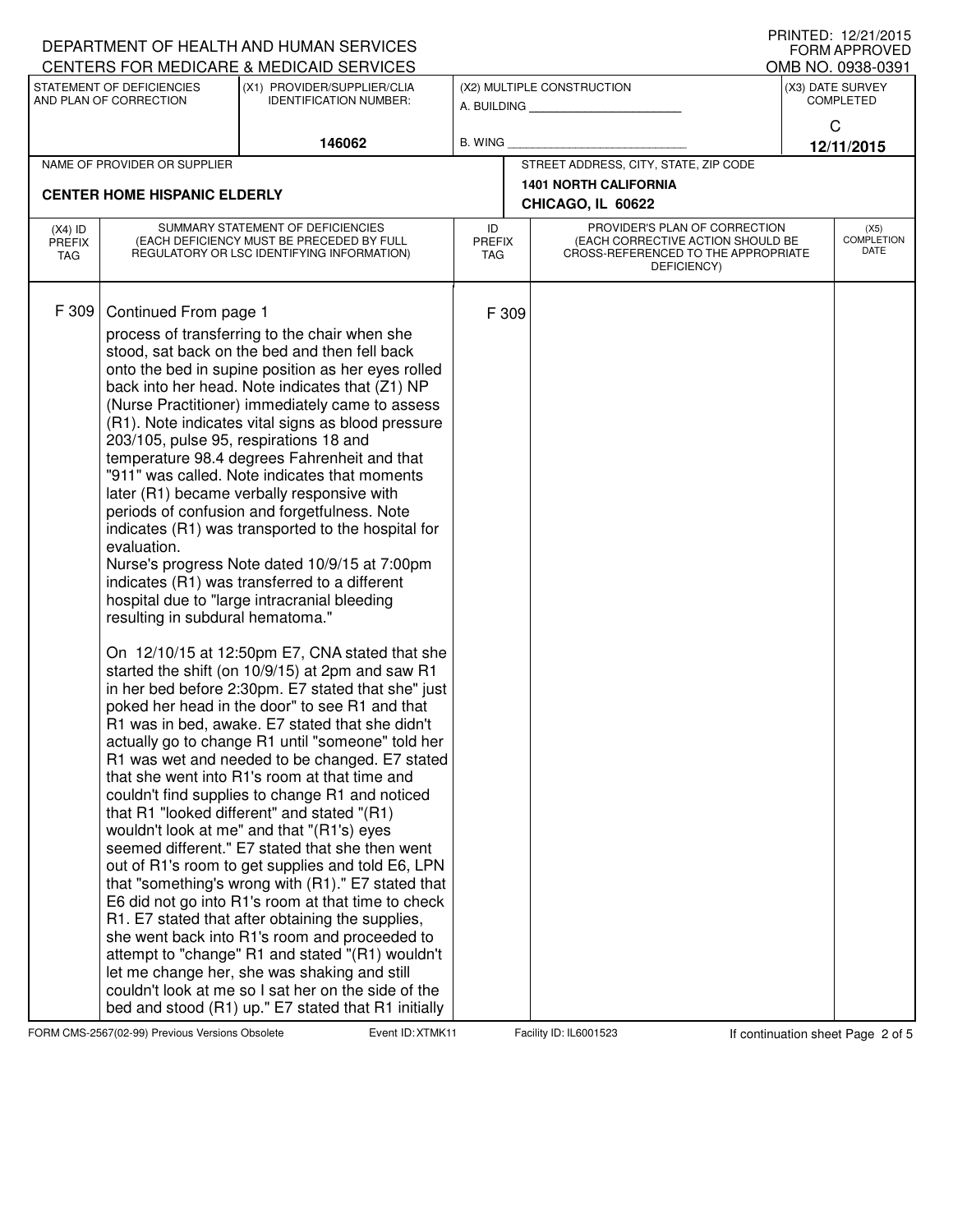|                                                                                                                     |                                                                                                                              | DEPARTMENT OF HEALTH AND HUMAN SERVICES                                                                                                                                                                                                                                                                                                                                                                                                                                                                                                                                                                                                                                                                                                                                                                                                                                                                                                                                                                                                                                                                                                                                                                                                                                                                                                                                                                                                                                                                                                                                                                                                                                                                                                                                                                                                                                               |                            |                                           | FORM APPROVED                                                                                                            |  |                                   |
|---------------------------------------------------------------------------------------------------------------------|------------------------------------------------------------------------------------------------------------------------------|---------------------------------------------------------------------------------------------------------------------------------------------------------------------------------------------------------------------------------------------------------------------------------------------------------------------------------------------------------------------------------------------------------------------------------------------------------------------------------------------------------------------------------------------------------------------------------------------------------------------------------------------------------------------------------------------------------------------------------------------------------------------------------------------------------------------------------------------------------------------------------------------------------------------------------------------------------------------------------------------------------------------------------------------------------------------------------------------------------------------------------------------------------------------------------------------------------------------------------------------------------------------------------------------------------------------------------------------------------------------------------------------------------------------------------------------------------------------------------------------------------------------------------------------------------------------------------------------------------------------------------------------------------------------------------------------------------------------------------------------------------------------------------------------------------------------------------------------------------------------------------------|----------------------------|-------------------------------------------|--------------------------------------------------------------------------------------------------------------------------|--|-----------------------------------|
|                                                                                                                     |                                                                                                                              | CENTERS FOR MEDICARE & MEDICAID SERVICES                                                                                                                                                                                                                                                                                                                                                                                                                                                                                                                                                                                                                                                                                                                                                                                                                                                                                                                                                                                                                                                                                                                                                                                                                                                                                                                                                                                                                                                                                                                                                                                                                                                                                                                                                                                                                                              |                            |                                           |                                                                                                                          |  | OMB NO. 0938-0391                 |
| STATEMENT OF DEFICIENCIES<br>(X1) PROVIDER/SUPPLIER/CLIA<br>AND PLAN OF CORRECTION<br><b>IDENTIFICATION NUMBER:</b> |                                                                                                                              |                                                                                                                                                                                                                                                                                                                                                                                                                                                                                                                                                                                                                                                                                                                                                                                                                                                                                                                                                                                                                                                                                                                                                                                                                                                                                                                                                                                                                                                                                                                                                                                                                                                                                                                                                                                                                                                                                       |                            | (X2) MULTIPLE CONSTRUCTION<br>A. BUILDING | (X3) DATE SURVEY<br><b>COMPLETED</b>                                                                                     |  |                                   |
|                                                                                                                     |                                                                                                                              | 146062                                                                                                                                                                                                                                                                                                                                                                                                                                                                                                                                                                                                                                                                                                                                                                                                                                                                                                                                                                                                                                                                                                                                                                                                                                                                                                                                                                                                                                                                                                                                                                                                                                                                                                                                                                                                                                                                                | <b>B. WING</b>             |                                           |                                                                                                                          |  | C<br>12/11/2015                   |
|                                                                                                                     | NAME OF PROVIDER OR SUPPLIER                                                                                                 |                                                                                                                                                                                                                                                                                                                                                                                                                                                                                                                                                                                                                                                                                                                                                                                                                                                                                                                                                                                                                                                                                                                                                                                                                                                                                                                                                                                                                                                                                                                                                                                                                                                                                                                                                                                                                                                                                       |                            |                                           | STREET ADDRESS, CITY, STATE, ZIP CODE                                                                                    |  |                                   |
|                                                                                                                     |                                                                                                                              |                                                                                                                                                                                                                                                                                                                                                                                                                                                                                                                                                                                                                                                                                                                                                                                                                                                                                                                                                                                                                                                                                                                                                                                                                                                                                                                                                                                                                                                                                                                                                                                                                                                                                                                                                                                                                                                                                       |                            |                                           | <b>1401 NORTH CALIFORNIA</b>                                                                                             |  |                                   |
|                                                                                                                     | <b>CENTER HOME HISPANIC ELDERLY</b>                                                                                          |                                                                                                                                                                                                                                                                                                                                                                                                                                                                                                                                                                                                                                                                                                                                                                                                                                                                                                                                                                                                                                                                                                                                                                                                                                                                                                                                                                                                                                                                                                                                                                                                                                                                                                                                                                                                                                                                                       |                            |                                           | CHICAGO, IL 60622                                                                                                        |  |                                   |
| $(X4)$ ID<br><b>PREFIX</b><br>TAG                                                                                   | SUMMARY STATEMENT OF DEFICIENCIES<br>(EACH DEFICIENCY MUST BE PRECEDED BY FULL<br>REGULATORY OR LSC IDENTIFYING INFORMATION) |                                                                                                                                                                                                                                                                                                                                                                                                                                                                                                                                                                                                                                                                                                                                                                                                                                                                                                                                                                                                                                                                                                                                                                                                                                                                                                                                                                                                                                                                                                                                                                                                                                                                                                                                                                                                                                                                                       | ID<br>PREFIX<br><b>TAG</b> |                                           | PROVIDER'S PLAN OF CORRECTION<br>(EACH CORRECTIVE ACTION SHOULD BE<br>CROSS-REFERENCED TO THE APPROPRIATE<br>DEFICIENCY) |  | (X5)<br><b>COMPLETION</b><br>DATE |
| F 309                                                                                                               | Continued From page 1<br>evaluation.<br>resulting in subdural hematoma."                                                     | process of transferring to the chair when she<br>stood, sat back on the bed and then fell back<br>onto the bed in supine position as her eyes rolled<br>back into her head. Note indicates that (Z1) NP<br>(Nurse Practitioner) immediately came to assess<br>(R1). Note indicates vital signs as blood pressure<br>203/105, pulse 95, respirations 18 and<br>temperature 98.4 degrees Fahrenheit and that<br>"911" was called. Note indicates that moments<br>later (R1) became verbally responsive with<br>periods of confusion and forgetfulness. Note<br>indicates (R1) was transported to the hospital for<br>Nurse's progress Note dated 10/9/15 at 7:00pm<br>indicates (R1) was transferred to a different<br>hospital due to "large intracranial bleeding<br>On 12/10/15 at 12:50pm E7, CNA stated that she<br>started the shift (on 10/9/15) at 2pm and saw R1<br>in her bed before 2:30pm. E7 stated that she" just<br>poked her head in the door" to see R1 and that<br>R1 was in bed, awake. E7 stated that she didn't<br>actually go to change R1 until "someone" told her<br>R1 was wet and needed to be changed. E7 stated<br>that she went into R1's room at that time and<br>couldn't find supplies to change R1 and noticed<br>that R1 "looked different" and stated "(R1)<br>wouldn't look at me" and that "(R1's) eyes<br>seemed different." E7 stated that she then went<br>out of R1's room to get supplies and told E6, LPN<br>that "something's wrong with (R1)." E7 stated that<br>E6 did not go into R1's room at that time to check<br>R1. E7 stated that after obtaining the supplies,<br>she went back into R1's room and proceeded to<br>attempt to "change" R1 and stated "(R1) wouldn't<br>let me change her, she was shaking and still<br>couldn't look at me so I sat her on the side of the<br>bed and stood (R1) up." E7 stated that R1 initially |                            | F 309                                     |                                                                                                                          |  |                                   |

FORM CMS-2567(02-99) Previous Versions Obsolete **XTMK Event ID: XTMK11** Facility ID: IL6001523 If continuation sheet Page 2 of 5

DEPARTMENT OF HEALTH AND HUMAN SERVICES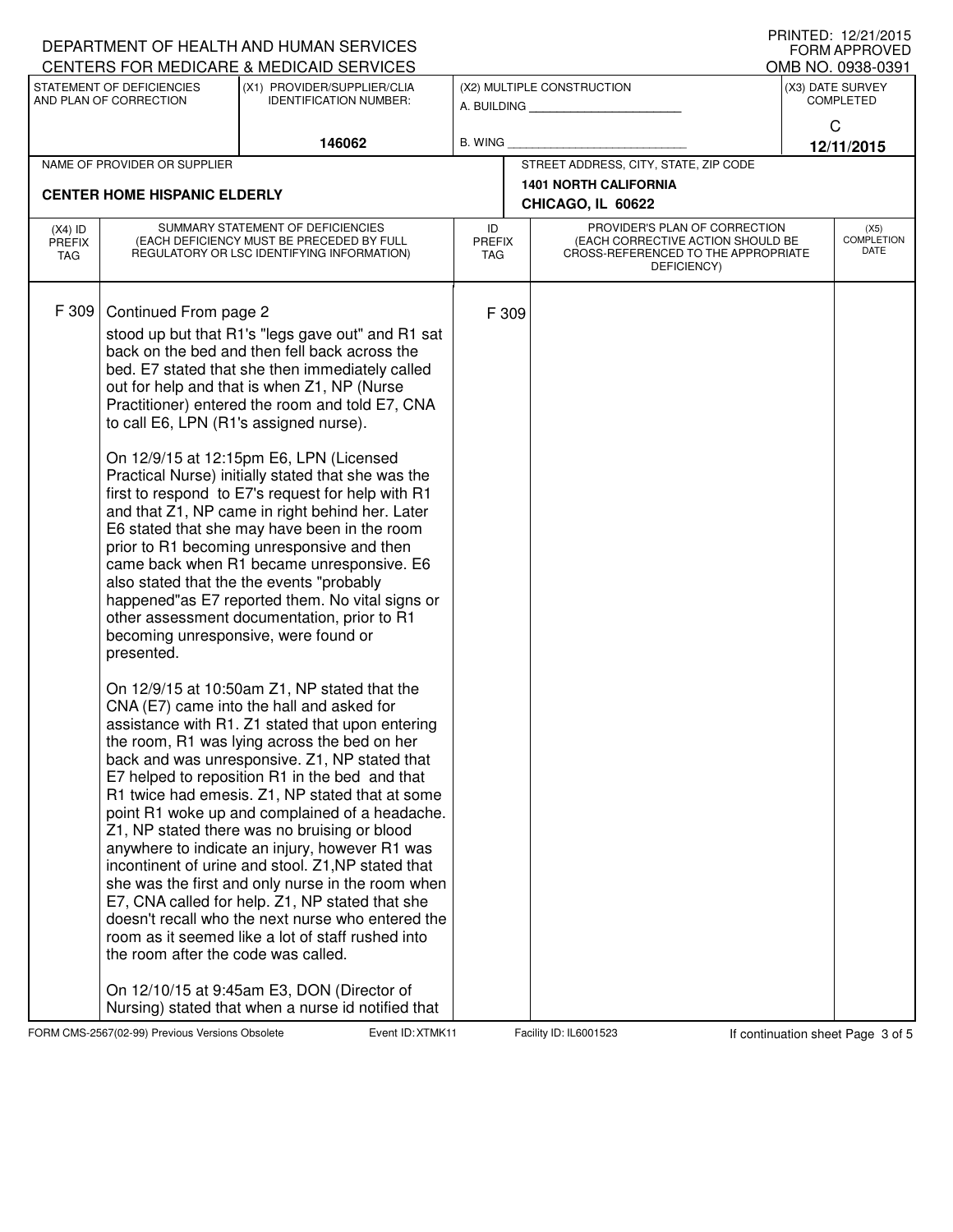|                                   | DEPARTMENT OF HEALTH AND HUMAN SERVICES<br>CENTERS FOR MEDICARE & MEDICAID SERVICES                                          |                                                                                                                                                                                                                                                                                                                                                                                                                                                                                                                                                                                                                                                                                                                                                                                                                                                                                                                                                                                                                                                                                                                                                                                                                                                                                                                                                                                                                                                                                                                                                                                                                                                                                           | I I III I I LU. I <i>LI L</i> I I <i>L</i> U I J<br><b>FORM APPROVED</b><br>OMB NO. 0938-0391 |                                                                                                                          |                                                   |                       |                                          |
|-----------------------------------|------------------------------------------------------------------------------------------------------------------------------|-------------------------------------------------------------------------------------------------------------------------------------------------------------------------------------------------------------------------------------------------------------------------------------------------------------------------------------------------------------------------------------------------------------------------------------------------------------------------------------------------------------------------------------------------------------------------------------------------------------------------------------------------------------------------------------------------------------------------------------------------------------------------------------------------------------------------------------------------------------------------------------------------------------------------------------------------------------------------------------------------------------------------------------------------------------------------------------------------------------------------------------------------------------------------------------------------------------------------------------------------------------------------------------------------------------------------------------------------------------------------------------------------------------------------------------------------------------------------------------------------------------------------------------------------------------------------------------------------------------------------------------------------------------------------------------------|-----------------------------------------------------------------------------------------------|--------------------------------------------------------------------------------------------------------------------------|---------------------------------------------------|-----------------------|------------------------------------------|
| STATEMENT OF DEFICIENCIES         |                                                                                                                              | (X1) PROVIDER/SUPPLIER/CLIA                                                                                                                                                                                                                                                                                                                                                                                                                                                                                                                                                                                                                                                                                                                                                                                                                                                                                                                                                                                                                                                                                                                                                                                                                                                                                                                                                                                                                                                                                                                                                                                                                                                               | (X2) MULTIPLE CONSTRUCTION                                                                    |                                                                                                                          |                                                   | (X3) DATE SURVEY      |                                          |
| AND PLAN OF CORRECTION            |                                                                                                                              | <b>IDENTIFICATION NUMBER:</b>                                                                                                                                                                                                                                                                                                                                                                                                                                                                                                                                                                                                                                                                                                                                                                                                                                                                                                                                                                                                                                                                                                                                                                                                                                                                                                                                                                                                                                                                                                                                                                                                                                                             |                                                                                               |                                                                                                                          | A. BUILDING                                       | <b>COMPLETED</b><br>C |                                          |
|                                   |                                                                                                                              | 146062                                                                                                                                                                                                                                                                                                                                                                                                                                                                                                                                                                                                                                                                                                                                                                                                                                                                                                                                                                                                                                                                                                                                                                                                                                                                                                                                                                                                                                                                                                                                                                                                                                                                                    | <b>B. WING</b>                                                                                |                                                                                                                          |                                                   | 12/11/2015            |                                          |
|                                   | NAME OF PROVIDER OR SUPPLIER                                                                                                 |                                                                                                                                                                                                                                                                                                                                                                                                                                                                                                                                                                                                                                                                                                                                                                                                                                                                                                                                                                                                                                                                                                                                                                                                                                                                                                                                                                                                                                                                                                                                                                                                                                                                                           |                                                                                               |                                                                                                                          | STREET ADDRESS, CITY, STATE, ZIP CODE             |                       |                                          |
|                                   | <b>CENTER HOME HISPANIC ELDERLY</b>                                                                                          |                                                                                                                                                                                                                                                                                                                                                                                                                                                                                                                                                                                                                                                                                                                                                                                                                                                                                                                                                                                                                                                                                                                                                                                                                                                                                                                                                                                                                                                                                                                                                                                                                                                                                           |                                                                                               |                                                                                                                          | <b>1401 NORTH CALIFORNIA</b><br>CHICAGO, IL 60622 |                       |                                          |
| $(X4)$ ID<br><b>PREFIX</b><br>TAG | SUMMARY STATEMENT OF DEFICIENCIES<br>(EACH DEFICIENCY MUST BE PRECEDED BY FULL<br>REGULATORY OR LSC IDENTIFYING INFORMATION) |                                                                                                                                                                                                                                                                                                                                                                                                                                                                                                                                                                                                                                                                                                                                                                                                                                                                                                                                                                                                                                                                                                                                                                                                                                                                                                                                                                                                                                                                                                                                                                                                                                                                                           | ID<br><b>PREFIX</b><br><b>TAG</b>                                                             | PROVIDER'S PLAN OF CORRECTION<br>(EACH CORRECTIVE ACTION SHOULD BE<br>CROSS-REFERENCED TO THE APPROPRIATE<br>DEFICIENCY) |                                                   |                       | (X5)<br><b>COMPLETION</b><br><b>DATE</b> |
| F 309                             | Continued From page 2<br>to call E6, LPN (R1's assigned nurse).<br>presented.<br>the room after the code was called.         | stood up but that R1's "legs gave out" and R1 sat<br>back on the bed and then fell back across the<br>bed. E7 stated that she then immediately called<br>out for help and that is when Z1, NP (Nurse<br>Practitioner) entered the room and told E7, CNA<br>On 12/9/15 at 12:15pm E6, LPN (Licensed<br>Practical Nurse) initially stated that she was the<br>first to respond to E7's request for help with R1<br>and that Z1, NP came in right behind her. Later<br>E6 stated that she may have been in the room<br>prior to R1 becoming unresponsive and then<br>came back when R1 became unresponsive. E6<br>also stated that the the events "probably<br>happened"as E7 reported them. No vital signs or<br>other assessment documentation, prior to R1<br>becoming unresponsive, were found or<br>On 12/9/15 at 10:50am Z1, NP stated that the<br>CNA (E7) came into the hall and asked for<br>assistance with R1. Z1 stated that upon entering<br>the room, R1 was lying across the bed on her<br>back and was unresponsive. Z1, NP stated that<br>E7 helped to reposition R1 in the bed and that<br>R1 twice had emesis. Z1, NP stated that at some<br>point R1 woke up and complained of a headache.<br>Z1, NP stated there was no bruising or blood<br>anywhere to indicate an injury, however R1 was<br>incontinent of urine and stool. Z1, NP stated that<br>she was the first and only nurse in the room when<br>E7, CNA called for help. Z1, NP stated that she<br>doesn't recall who the next nurse who entered the<br>room as it seemed like a lot of staff rushed into<br>On 12/10/15 at 9:45am E3, DON (Director of<br>Nursing) stated that when a nurse id notified that |                                                                                               | F 309                                                                                                                    |                                                   |                       |                                          |

FORM CMS-2567(02-99) Previous Versions Obsolete **XTMK Event ID: XTMK11** Facility ID: IL6001523 If continuation sheet Page 3 of 5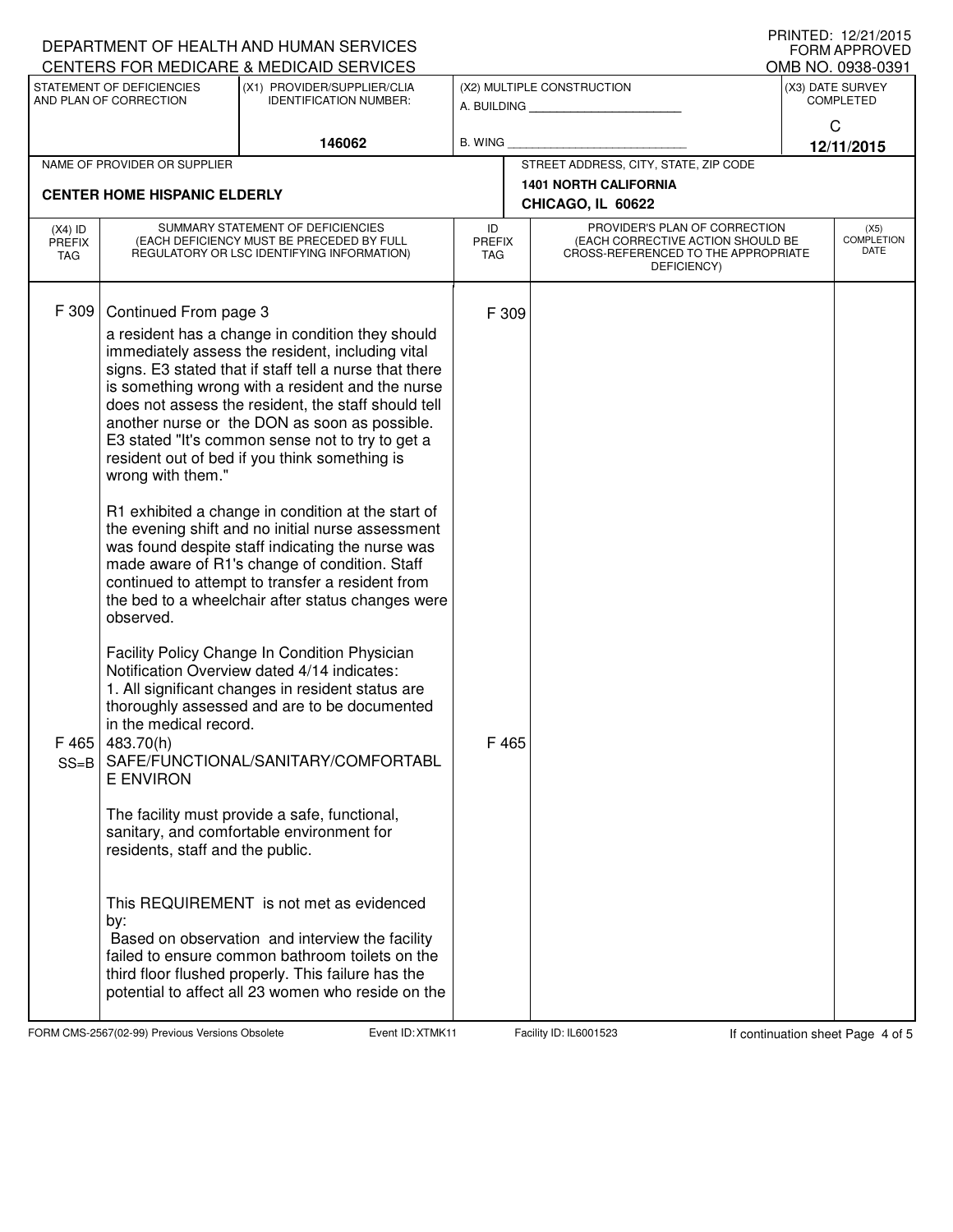|                      |                                                    | DEPARTMENT OF HEALTH AND HUMAN SERVICES                                                                    |                             |                                                   |                                                                          |                                       | I I III I I LU. I <i>LI L</i> I I <i>L</i> U I J<br><b>FORM APPROVED</b> |  |  |
|----------------------|----------------------------------------------------|------------------------------------------------------------------------------------------------------------|-----------------------------|---------------------------------------------------|--------------------------------------------------------------------------|---------------------------------------|--------------------------------------------------------------------------|--|--|
|                      | STATEMENT OF DEFICIENCIES                          | CENTERS FOR MEDICARE & MEDICAID SERVICES<br>(X1) PROVIDER/SUPPLIER/CLIA                                    |                             |                                                   | (X2) MULTIPLE CONSTRUCTION                                               | OMB NO. 0938-0391<br>(X3) DATE SURVEY |                                                                          |  |  |
|                      | AND PLAN OF CORRECTION                             | <b>IDENTIFICATION NUMBER:</b>                                                                              | A. BUILDING                 |                                                   |                                                                          |                                       | <b>COMPLETED</b>                                                         |  |  |
|                      |                                                    | 146062                                                                                                     | <b>B. WING</b>              |                                                   |                                                                          | C<br>12/11/2015                       |                                                                          |  |  |
|                      | NAME OF PROVIDER OR SUPPLIER                       |                                                                                                            |                             |                                                   | STREET ADDRESS, CITY, STATE, ZIP CODE                                    |                                       |                                                                          |  |  |
|                      | <b>CENTER HOME HISPANIC ELDERLY</b>                |                                                                                                            |                             | <b>1401 NORTH CALIFORNIA</b><br>CHICAGO, IL 60622 |                                                                          |                                       |                                                                          |  |  |
| $(X4)$ ID            |                                                    | SUMMARY STATEMENT OF DEFICIENCIES                                                                          | ID                          |                                                   | PROVIDER'S PLAN OF CORRECTION                                            |                                       | (X5)                                                                     |  |  |
| <b>PREFIX</b><br>TAG |                                                    | (EACH DEFICIENCY MUST BE PRECEDED BY FULL<br>REGULATORY OR LSC IDENTIFYING INFORMATION)                    | <b>PREFIX</b><br><b>TAG</b> |                                                   | (EACH CORRECTIVE ACTION SHOULD BE<br>CROSS-REFERENCED TO THE APPROPRIATE |                                       | <b>COMPLETION</b><br>DATE                                                |  |  |
|                      |                                                    |                                                                                                            |                             |                                                   | DEFICIENCY)                                                              |                                       |                                                                          |  |  |
| F 309                | Continued From page 3                              |                                                                                                            | F 309                       |                                                   |                                                                          |                                       |                                                                          |  |  |
|                      |                                                    | a resident has a change in condition they should                                                           |                             |                                                   |                                                                          |                                       |                                                                          |  |  |
|                      |                                                    | immediately assess the resident, including vital                                                           |                             |                                                   |                                                                          |                                       |                                                                          |  |  |
|                      |                                                    | signs. E3 stated that if staff tell a nurse that there<br>is something wrong with a resident and the nurse |                             |                                                   |                                                                          |                                       |                                                                          |  |  |
|                      |                                                    | does not assess the resident, the staff should tell                                                        |                             |                                                   |                                                                          |                                       |                                                                          |  |  |
|                      |                                                    | another nurse or the DON as soon as possible.<br>E3 stated "It's common sense not to try to get a          |                             |                                                   |                                                                          |                                       |                                                                          |  |  |
|                      |                                                    | resident out of bed if you think something is                                                              |                             |                                                   |                                                                          |                                       |                                                                          |  |  |
|                      | wrong with them."                                  |                                                                                                            |                             |                                                   |                                                                          |                                       |                                                                          |  |  |
|                      | R1 exhibited a change in condition at the start of |                                                                                                            |                             |                                                   |                                                                          |                                       |                                                                          |  |  |
|                      |                                                    | the evening shift and no initial nurse assessment<br>was found despite staff indicating the nurse was      |                             |                                                   |                                                                          |                                       |                                                                          |  |  |
|                      |                                                    | made aware of R1's change of condition. Staff                                                              |                             |                                                   |                                                                          |                                       |                                                                          |  |  |
|                      |                                                    | continued to attempt to transfer a resident from<br>the bed to a wheelchair after status changes were      |                             |                                                   |                                                                          |                                       |                                                                          |  |  |
|                      | observed.                                          |                                                                                                            |                             |                                                   |                                                                          |                                       |                                                                          |  |  |
|                      |                                                    | Facility Policy Change In Condition Physician                                                              |                             |                                                   |                                                                          |                                       |                                                                          |  |  |
|                      |                                                    | Notification Overview dated 4/14 indicates:                                                                |                             |                                                   |                                                                          |                                       |                                                                          |  |  |
|                      |                                                    | 1. All significant changes in resident status are<br>thoroughly assessed and are to be documented          |                             |                                                   |                                                                          |                                       |                                                                          |  |  |
|                      | in the medical record.                             |                                                                                                            |                             |                                                   |                                                                          |                                       |                                                                          |  |  |
| $SS = B$             | $F$ 465 483.70(h)                                  | SAFE/FUNCTIONAL/SANITARY/COMFORTABL                                                                        |                             | F 465                                             |                                                                          |                                       |                                                                          |  |  |
|                      | <b>E ENVIRON</b>                                   |                                                                                                            |                             |                                                   |                                                                          |                                       |                                                                          |  |  |
|                      |                                                    | The facility must provide a safe, functional,                                                              |                             |                                                   |                                                                          |                                       |                                                                          |  |  |
|                      |                                                    | sanitary, and comfortable environment for                                                                  |                             |                                                   |                                                                          |                                       |                                                                          |  |  |
|                      | residents, staff and the public.                   |                                                                                                            |                             |                                                   |                                                                          |                                       |                                                                          |  |  |
|                      |                                                    |                                                                                                            |                             |                                                   |                                                                          |                                       |                                                                          |  |  |
|                      | by:                                                | This REQUIREMENT is not met as evidenced                                                                   |                             |                                                   |                                                                          |                                       |                                                                          |  |  |
|                      |                                                    | Based on observation and interview the facility                                                            |                             |                                                   |                                                                          |                                       |                                                                          |  |  |
|                      |                                                    | failed to ensure common bathroom toilets on the<br>third floor flushed properly. This failure has the      |                             |                                                   |                                                                          |                                       |                                                                          |  |  |
|                      |                                                    | potential to affect all 23 women who reside on the                                                         |                             |                                                   |                                                                          |                                       |                                                                          |  |  |
|                      |                                                    |                                                                                                            |                             |                                                   |                                                                          |                                       |                                                                          |  |  |

FORM CMS-2567(02-99) Previous Versions Obsolete **XTMK Event ID: XTMK11** Facility ID: IL6001523 If continuation sheet Page 4 of 5